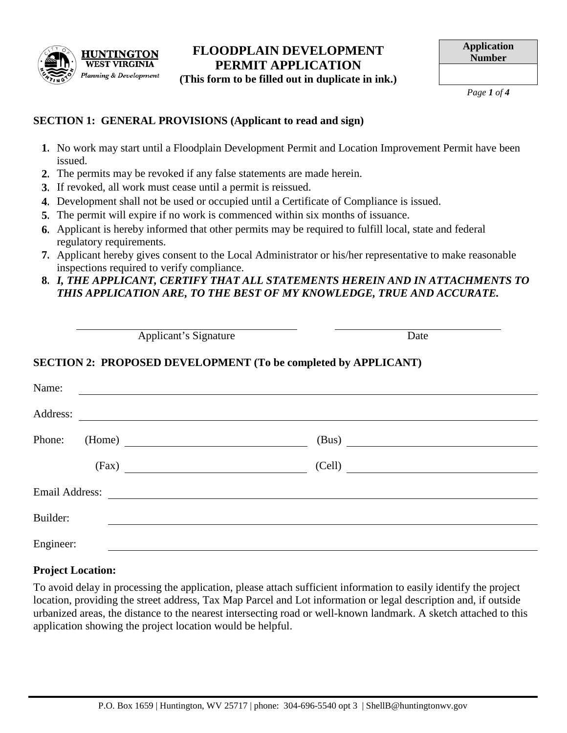

## **FLOODPLAIN DEVELOPMENT PERMIT APPLICATION (This form to be filled out in duplicate in ink.)**

*Page 1 of 4*

## **SECTION 1: GENERAL PROVISIONS (Applicant to read and sign)**

- **1.** No work may start until a Floodplain Development Permit and Location Improvement Permit have been issued.
- **2.** The permits may be revoked if any false statements are made herein.
- **3.** If revoked, all work must cease until a permit is reissued.
- **4.** Development shall not be used or occupied until a Certificate of Compliance is issued.
- **5.** The permit will expire if no work is commenced within six months of issuance.
- **6.** Applicant is hereby informed that other permits may be required to fulfill local, state and federal regulatory requirements.
- **7.** Applicant hereby gives consent to the Local Administrator or his/her representative to make reasonable inspections required to verify compliance.
- **8.** *I, THE APPLICANT, CERTIFY THAT ALL STATEMENTS HEREIN AND IN ATTACHMENTS TO THIS APPLICATION ARE, TO THE BEST OF MY KNOWLEDGE, TRUE AND ACCURATE.*

|                |       | Applicant's Signature                                                                                                |        | Date |
|----------------|-------|----------------------------------------------------------------------------------------------------------------------|--------|------|
|                |       | SECTION 2: PROPOSED DEVELOPMENT (To be completed by APPLICANT)                                                       |        |      |
| Name:          |       | <u> 1980 - Andrea State Barbara, amerikan personal di sebagai personal di sebagai personal di sebagai personal d</u> |        |      |
| Address:       |       |                                                                                                                      |        |      |
| Phone:         |       | (Home)                                                                                                               | (Bus)  |      |
|                | (Fax) |                                                                                                                      | (Cell) |      |
| Email Address: |       |                                                                                                                      |        |      |
| Builder:       |       |                                                                                                                      |        |      |
| Engineer:      |       |                                                                                                                      |        |      |

# **Project Location:**

To avoid delay in processing the application, please attach sufficient information to easily identify the project location, providing the street address, Tax Map Parcel and Lot information or legal description and, if outside urbanized areas, the distance to the nearest intersecting road or well-known landmark. A sketch attached to this application showing the project location would be helpful.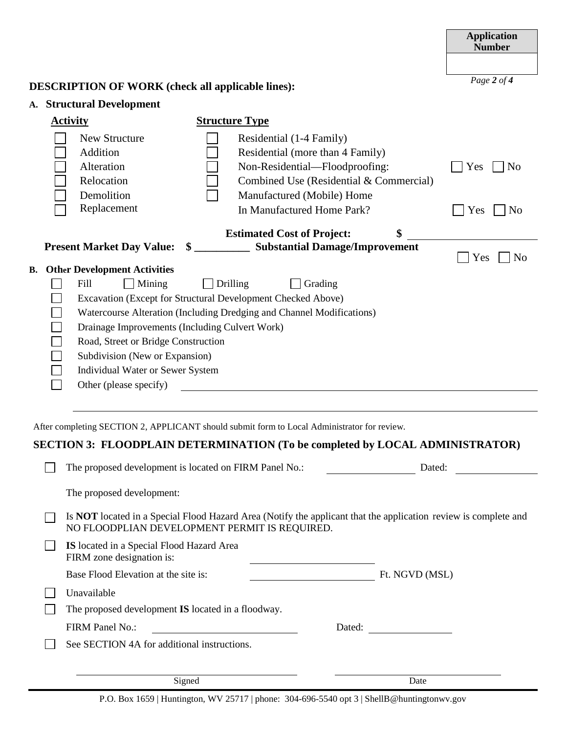|                                                                                                                                                                                                                                                                                                                                                                                                                                                                                                                              |                                                                                                                                                                         |                                                                                                                                                                                                       | <b>Application</b><br><b>Number</b>            |  |  |  |
|------------------------------------------------------------------------------------------------------------------------------------------------------------------------------------------------------------------------------------------------------------------------------------------------------------------------------------------------------------------------------------------------------------------------------------------------------------------------------------------------------------------------------|-------------------------------------------------------------------------------------------------------------------------------------------------------------------------|-------------------------------------------------------------------------------------------------------------------------------------------------------------------------------------------------------|------------------------------------------------|--|--|--|
|                                                                                                                                                                                                                                                                                                                                                                                                                                                                                                                              |                                                                                                                                                                         |                                                                                                                                                                                                       |                                                |  |  |  |
| <b>DESCRIPTION OF WORK (check all applicable lines):</b>                                                                                                                                                                                                                                                                                                                                                                                                                                                                     | Page 2 of $\overline{4}$                                                                                                                                                |                                                                                                                                                                                                       |                                                |  |  |  |
|                                                                                                                                                                                                                                                                                                                                                                                                                                                                                                                              |                                                                                                                                                                         |                                                                                                                                                                                                       |                                                |  |  |  |
| A. Structural Development<br><b>Activity</b><br><b>Structure Type</b>                                                                                                                                                                                                                                                                                                                                                                                                                                                        |                                                                                                                                                                         |                                                                                                                                                                                                       |                                                |  |  |  |
|                                                                                                                                                                                                                                                                                                                                                                                                                                                                                                                              | <b>New Structure</b><br>Addition<br>Alteration<br>Relocation<br>Demolition<br>Replacement                                                                               | Residential (1-4 Family)<br>Residential (more than 4 Family)<br>Non-Residential-Floodproofing:<br>Combined Use (Residential & Commercial)<br>Manufactured (Mobile) Home<br>In Manufactured Home Park? | Yes<br>N <sub>0</sub><br>Yes<br>N <sub>0</sub> |  |  |  |
|                                                                                                                                                                                                                                                                                                                                                                                                                                                                                                                              |                                                                                                                                                                         | \$<br><b>Estimated Cost of Project:</b>                                                                                                                                                               |                                                |  |  |  |
| <b>Present Market Day Value:</b>                                                                                                                                                                                                                                                                                                                                                                                                                                                                                             | Yes<br>N <sub>o</sub>                                                                                                                                                   |                                                                                                                                                                                                       |                                                |  |  |  |
| <b>Other Development Activities</b><br>В.<br>Fill<br>  Mining<br>$\Box$ Drilling<br>Grading<br>Excavation (Except for Structural Development Checked Above)<br>Watercourse Alteration (Including Dredging and Channel Modifications)<br>Drainage Improvements (Including Culvert Work)<br>Road, Street or Bridge Construction<br>Subdivision (New or Expansion)<br>Individual Water or Sewer System<br>Other (please specify)<br>After completing SECTION 2, APPLICANT should submit form to Local Administrator for review. |                                                                                                                                                                         |                                                                                                                                                                                                       |                                                |  |  |  |
|                                                                                                                                                                                                                                                                                                                                                                                                                                                                                                                              | SECTION 3: FLOODPLAIN DETERMINATION (To be completed by LOCAL ADMINISTRATOR)<br>The proposed development is located on FIRM Panel No.:                                  | Dated:                                                                                                                                                                                                |                                                |  |  |  |
|                                                                                                                                                                                                                                                                                                                                                                                                                                                                                                                              | The proposed development:                                                                                                                                               |                                                                                                                                                                                                       |                                                |  |  |  |
|                                                                                                                                                                                                                                                                                                                                                                                                                                                                                                                              | Is <b>NOT</b> located in a Special Flood Hazard Area (Notify the applicant that the application review is complete and<br>NO FLOODPLIAN DEVELOPMENT PERMIT IS REQUIRED. |                                                                                                                                                                                                       |                                                |  |  |  |
|                                                                                                                                                                                                                                                                                                                                                                                                                                                                                                                              | IS located in a Special Flood Hazard Area<br>FIRM zone designation is:                                                                                                  | <u> 1980 - Johann Stoff, fransk politik (d. 1980)</u>                                                                                                                                                 |                                                |  |  |  |
|                                                                                                                                                                                                                                                                                                                                                                                                                                                                                                                              | Base Flood Elevation at the site is:<br>Ft. NGVD (MSL)                                                                                                                  |                                                                                                                                                                                                       |                                                |  |  |  |
|                                                                                                                                                                                                                                                                                                                                                                                                                                                                                                                              | Unavailable                                                                                                                                                             |                                                                                                                                                                                                       |                                                |  |  |  |
|                                                                                                                                                                                                                                                                                                                                                                                                                                                                                                                              | The proposed development IS located in a floodway.                                                                                                                      |                                                                                                                                                                                                       |                                                |  |  |  |
|                                                                                                                                                                                                                                                                                                                                                                                                                                                                                                                              | FIRM Panel No.:<br><u> 1980 - Johann Barn, mars ar breist fan de Amerikaansk kommunent fan de Amerikaanske kommunent fan de Amerikaa</u>                                |                                                                                                                                                                                                       |                                                |  |  |  |
|                                                                                                                                                                                                                                                                                                                                                                                                                                                                                                                              | See SECTION 4A for additional instructions.                                                                                                                             |                                                                                                                                                                                                       |                                                |  |  |  |

Signed Date

P.O. Box 1659 | Huntington, WV 25717 | phone: 304-696-5540 opt 3 | ShellB@huntingtonwv.gov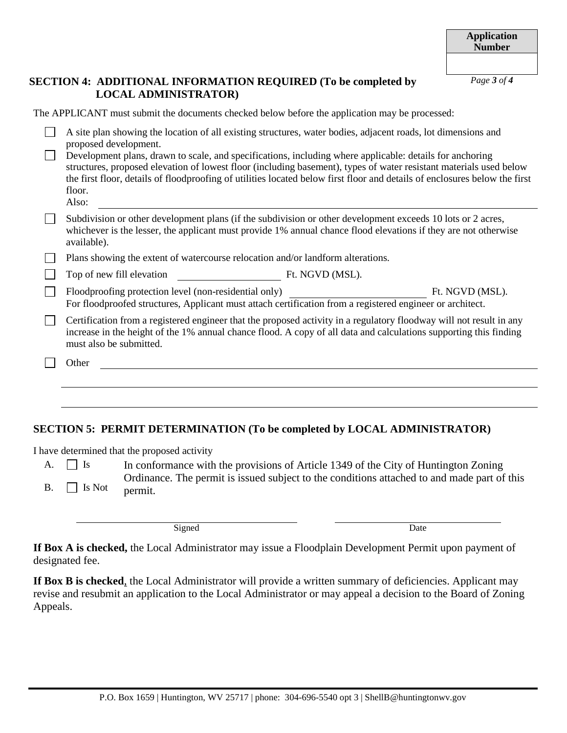### **SECTION 4: ADDITIONAL INFORMATION REQUIRED (To be completed by LOCAL ADMINISTRATOR)**

| The APPLICANT must submit the documents checked below before the application may be processed:                                                                                                                                                                                                                                                                                                                                                                                                                            |  |  |  |  |
|---------------------------------------------------------------------------------------------------------------------------------------------------------------------------------------------------------------------------------------------------------------------------------------------------------------------------------------------------------------------------------------------------------------------------------------------------------------------------------------------------------------------------|--|--|--|--|
| A site plan showing the location of all existing structures, water bodies, adjacent roads, lot dimensions and<br>proposed development.<br>Development plans, drawn to scale, and specifications, including where applicable: details for anchoring<br>structures, proposed elevation of lowest floor (including basement), types of water resistant materials used below<br>the first floor, details of floodproofing of utilities located below first floor and details of enclosures below the first<br>floor.<br>Also: |  |  |  |  |
| Subdivision or other development plans (if the subdivision or other development exceeds 10 lots or 2 acres,<br>whichever is the lesser, the applicant must provide 1% annual chance flood elevations if they are not otherwise<br>available).                                                                                                                                                                                                                                                                             |  |  |  |  |
| Plans showing the extent of watercourse relocation and/or landform alterations.                                                                                                                                                                                                                                                                                                                                                                                                                                           |  |  |  |  |
| Top of new fill elevation<br>Ft. NGVD (MSL).                                                                                                                                                                                                                                                                                                                                                                                                                                                                              |  |  |  |  |
| Floodproofing protection level (non-residential only)<br>Ft. NGVD (MSL).<br>For floodproofed structures, Applicant must attach certification from a registered engineer or architect.                                                                                                                                                                                                                                                                                                                                     |  |  |  |  |
| Certification from a registered engineer that the proposed activity in a regulatory floodway will not result in any<br>increase in the height of the 1% annual chance flood. A copy of all data and calculations supporting this finding<br>must also be submitted.                                                                                                                                                                                                                                                       |  |  |  |  |
| Other                                                                                                                                                                                                                                                                                                                                                                                                                                                                                                                     |  |  |  |  |
|                                                                                                                                                                                                                                                                                                                                                                                                                                                                                                                           |  |  |  |  |
|                                                                                                                                                                                                                                                                                                                                                                                                                                                                                                                           |  |  |  |  |
|                                                                                                                                                                                                                                                                                                                                                                                                                                                                                                                           |  |  |  |  |

# **SECTION 5: PERMIT DETERMINATION (To be completed by LOCAL ADMINISTRATOR)**

I have determined that the proposed activity

A.  $\Box$  Is In conformance with the provisions of Article 1349 of the City of Huntington Zoning Ordinance. The permit is issued subject to the conditions attached to and made part of this B.  $\Box$  Is Not permit.

Signed Date

**If Box A is checked,** the Local Administrator may issue a Floodplain Development Permit upon payment of designated fee.

**If Box B is checked**, the Local Administrator will provide a written summary of deficiencies. Applicant may revise and resubmit an application to the Local Administrator or may appeal a decision to the Board of Zoning Appeals.

*Page 3 of 4*